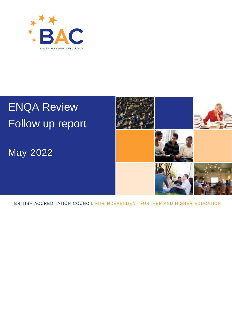

# ENQA Review Follow up report

May 2022



BRITISH ACCREDITATION COUNCIL FOR INDEPENDENT FURTHER AND HIGHER EDUCATION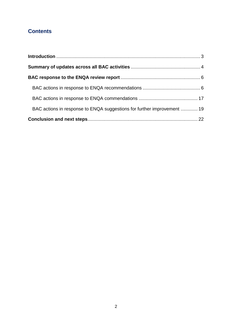# **Contents**

| BAC actions in response to ENQA suggestions for further improvement  19 |  |
|-------------------------------------------------------------------------|--|
|                                                                         |  |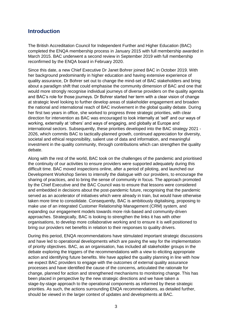# <span id="page-2-0"></span>**Introduction**

The British Accreditation Council for Independent Further and Higher Education (BAC) completed the ENQA membership process in January 2015 with full membership awarded in March 2015. BAC underwent a second review in September 2019 with full membership reconfirmed by the ENQA board in February 2020.

Since this date, a new Chief Executive Dr Janet Bohrer joined BAC in October 2019. With her background predominantly in higher education and having extensive experience of quality assurance, Dr Bohrer set out to change the mind-set of BAC stakeholders and bring about a paradigm shift that could emphasise the community dimension of BAC and one that would more strongly recognise individual journeys of diverse providers on the quality agenda and BAC's role for those journeys. Dr Bohrer started her term with a clear vision of change at strategic level looking to further develop areas of stakeholder engagement and broaden the national and international reach of BAC involvement in the global quality debate. During her first two years in office, she worked to progress three strategic priorities, with clear direction for intervention as BAC was encouraged to look internally at 'self' and our ways of working, externally at 'others' and ways of engaging, and globally at Europe and international sectors. Subsequently, these priorities developed into the BAC strategy 2021 - 2026, which commits BAC to tactically-planned growth, continued appreciation for diversity, societal and ethical responsibility, salient use of data and information, and meaningful investment in the quality community, through contributions which can strengthen the quality debate.

Along with the rest of the world, BAC took on the challenges of the pandemic and prioritised the continuity of our activities to ensure providers were supported adequately during this difficult time. BAC moved inspections online, after a period of piloting, and launched our Development Workshop Series to intensify the dialogue with our providers, to encourage the sharing of practices, and to bring the sense of community in focus. The approach promoted by the Chief Executive and the BAC Council was to ensure that lessons were considered and embedded in decisions about the post-pandemic future, recognising that the pandemic served as an accelerator of initiatives which were already in train, but would have otherwise taken more time to consolidate. Consequently, BAC is ambitiously digitalising, proposing to make use of an integrated Customer Relationship Management (CRM) system, and expanding our engagement models towards more risk-based and community-driven approaches. Strategically, BAC is looking to strengthen the links it has with other organisations, to develop more collaborative working and to ensure it is well positioned to bring our providers net benefits in relation to their responses to quality drivers.

During this period, ENQA recommendations have stimulated important strategic discussions and have led to operational developments which are paving the way for the implementation of priority objectives. BAC, as an organisation, has included all stakeholder groups in the debate exploring the triggers of the recommendations with a view to eliciting appropriate action and identifying future benefits. We have applied the quality planning in line with how we expect BAC providers to engage with the outcomes of external quality assurance processes and have identified the cause of the concerns, articulated the rationale for change, planned for action and strengthened mechanisms to monitoring change. This has been placed in perspective by the new strategic directions and we have taken a stage-by-stage approach to the operational components as informed by these strategic priorities. As such, the actions surrounding ENQA recommendations, as detailed further, should be viewed in the larger context of updates and developments at BAC.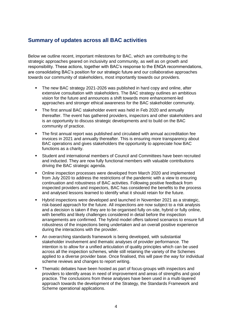# <span id="page-3-0"></span>**Summary of updates across all BAC activities**

Below we outline recent, important milestones for BAC, which are contributing to the strategic approaches geared on inclusivity and community, as well as on growth and responsibility. These actions, together with BAC's response to the ENQA recommendations, are consolidating BAC's position for our strategic future and our collaborative approaches towards our community of stakeholders, most importantly towards our providers.

- The new BAC strategy 2021-2026 was published in hard copy and online, after extensive consultation with stakeholders. The BAC strategy outlines an ambitious vision for the future and announces a shift towards more enhancement-led approaches and stronger ethical awareness for the BAC stakeholder community.
- The first annual BAC stakeholder event was held in Feb 2020 and annually thereafter. The event has gathered providers, inspectors and other stakeholders and is an opportunity to discuss strategic developments and to build on the BAC community of practice.
- The first annual report was published and circulated with annual accreditation fee invoices in 2021 and annually thereafter. This is ensuring more transparency about BAC operations and gives stakeholders the opportunity to appreciate how BAC functions as a charity.
- Student and international members of Council and Committees have been recruited and inducted. They are now fully functional members with valuable contributions driving the BAC strategic agenda.
- Online inspection processes were developed from March 2020 and implemented from July 2020 to address the restrictions of the pandemic with a view to ensuring continuation and robustness of BAC activities. Following positive feedback from inspected providers and inspectors, BAC has considered the benefits to the process and analysed lessons learned to identify what it should retain for the future.
- Hybrid inspections were developed and launched in November 2021 as a strategic, risk-based approach for the future. All inspections are now subject to a risk analysis and a decision is taken if they are to be organised fully on-site, hybrid or fully online, with benefits and likely challenges considered in detail before the inspection arrangements are confirmed. The hybrid model offers tailored scenarios to ensure full robustness of the inspections being undertaken and an overall positive experience during the interactions with the provider.
- An overarching standards framework is being developed, with substantial stakeholder involvement and thematic analyses of provider performance. The intention is to allow for a unified articulation of quality principles which can be used across all the inspection schemes, while still retaining the variety of the Schemes applied to a diverse provider base. Once finalised, this will pave the way for individual scheme reviews and changes to report writing.
- Thematic debates have been hosted as part of focus-groups with inspectors and providers to identify areas in need of improvement and areas of strengths and good practice. The conclusions from these analyses have been used in a multi-layered approach towards the development of the Strategy, the Standards Framework and Scheme operational applications.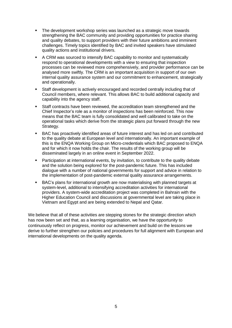- The development workshop series was launched as a strategic move towards strengthening the BAC community and providing opportunities for practice sharing and quality debates, to support providers with their future ambitions and imminent challenges. Timely topics identified by BAC and invited speakers have stimulated quality actions and institutional drivers.
- A CRM was sourced to intensify BAC capability to monitor and systematically respond to operational developments with a view to ensuring that inspection processes can be reviewed more comprehensively, and provider performance can be analysed more swiftly. The CRM is an important acquisition in support of our own internal quality assurance system and our commitment to enhancement, strategically and operationally.
- Staff development is actively encouraged and recorded centrally including that of Council members, where relevant. This allows BAC to build additional capacity and capability into the agency staff.
- Staff contracts have been reviewed, the accreditation team strengthened and the Chief Inspector's role as a monitor of inspections has been reinforced. This now means that the BAC team is fully consolidated and well calibrated to take on the operational tasks which derive from the strategic plans put forward through the new Strategy.
- BAC has proactively identified areas of future interest and has led on and contributed to the quality debate at European level and internationally. An important example of this is the ENQA Working Group on Micro-credentials which BAC proposed to ENQA and for which it now holds the chair. The results of the working group will be disseminated largely in an online event in September 2022.
- Participation at international events, by invitation, to contribute to the quality debate and the solution being explored for the post-pandemic future. This has included dialogue with a number of national governments for support and advice in relation to the implementation of post-pandemic external quality assurance arrangements.
- BAC's plans for international growth are now materialising with planned targets at system-level, additional to intensifying accreditation activities for international providers. A system-wide accreditation project was completed in Bahrain with the Higher Education Council and discussions at governmental level are taking place in Vietnam and Egypt and are being extended to Nepal and Qatar.

We believe that all of these activities are stepping stones for the strategic direction which has now been set and that, as a learning organisation, we have the opportunity to continuously reflect on progress, monitor our achievement and build on the lessons we derive to further strengthen our policies and procedures for full alignment with European and international developments on the quality agenda.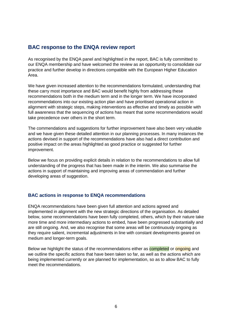# <span id="page-5-0"></span>**BAC response to the ENQA review report**

As recognised by the ENQA panel and highlighted in the report, BAC is fully committed to our ENQA membership and have welcomed the review as an opportunity to consolidate our practice and further develop in directions compatible with the European Higher Education Area.

We have given increased attention to the recommendations formulated, understanding that these carry most importance and BAC would benefit highly from addressing these recommendations both in the medium term and in the longer term. We have incorporated recommendations into our existing action plan and have prioritised operational action in alignment with strategic steps, making interventions as effective and timely as possible with full awareness that the sequencing of actions has meant that some recommendations would take precedence over others in the short term.

The commendations and suggestions for further improvement have also been very valuable and we have given these detailed attention in our planning processes. In many instances the actions devised in support of the recommendations have also had a direct contribution and positive impact on the areas highlighted as good practice or suggested for further improvement.

Below we focus on providing explicit details in relation to the recommendations to allow full understanding of the progress that has been made in the interim. We also summarise the actions in support of maintaining and improving areas of commendation and further developing areas of suggestion.

## <span id="page-5-1"></span>**BAC actions in response to ENQA recommendations**

ENQA recommendations have been given full attention and actions agreed and implemented in alignment with the new strategic directions of the organisation. As detailed below, some recommendations have been fully completed, others, which by their nature take more time and more intermediary actions to embed, have been progressed substantially and are still ongoing. And, we also recognise that some areas will be continuously ongoing as they require salient, incremental adjustments in line with constant developments geared on medium and longer-term goals.

Below we highlight the status of the recommendations either as **completed** or **ongoing** and we outline the specific actions that have been taken so far, as well as the actions which are being implemented currently or are planned for implementation, so as to allow BAC to fully meet the recommendations.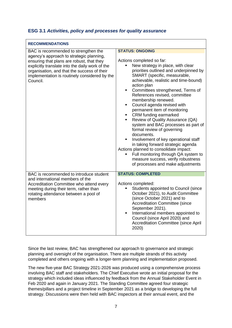### **ESG 3.1** *Activities, policy and processes for quality assurance*

| <b>RECOMMENDATIONS</b>                                                                                                                                                                                                                                                                       |                                                                                                                                                                                                                                                                                                                                                                                                                                                                                                                                                                                                                                                                                                                                                                                                               |
|----------------------------------------------------------------------------------------------------------------------------------------------------------------------------------------------------------------------------------------------------------------------------------------------|---------------------------------------------------------------------------------------------------------------------------------------------------------------------------------------------------------------------------------------------------------------------------------------------------------------------------------------------------------------------------------------------------------------------------------------------------------------------------------------------------------------------------------------------------------------------------------------------------------------------------------------------------------------------------------------------------------------------------------------------------------------------------------------------------------------|
| BAC is recommended to strengthen the<br>agency's approach to strategic planning,<br>ensuring that plans are robust, that they<br>explicitly translate into the daily work of the<br>organisation, and that the success of their<br>implementation is routinely considered by the<br>Council. | <b>STATUS: ONGOING</b><br>Actions completed so far:<br>New strategy in place, with clear<br>priorities outlined and underpinned by<br>SMART (specific, measurable,<br>achievable, realistic and time-bound)<br>action plan<br>Committees strengthened, Terms of<br>٠<br>References revised, committee<br>membership renewed.<br>Council agenda revised with<br>٠<br>permanent item of monitoring<br>CRM funding earmarked<br>$\blacksquare$<br>Review of Quality Assurance (QA)<br>system and BAC processes as part of<br>formal review of governing<br>documents.<br>Involvement of key operational staff<br>in taking forward strategic agenda<br>Actions planned to consolidate impact:<br>Full monitoring through QA system to<br>measure success, verify robustness<br>of processes and make adjustments |
| BAC is recommended to introduce student<br>and international members of the<br>Accreditation Committee who attend every<br>meeting during their term, rather than<br>rotating attendance between a pool of<br>members                                                                        | <b>STATUS: COMPLETED</b><br>Actions completed:<br>Students appointed to Council (since<br>October 2021), to Audit Committee<br>(since October 2021) and to<br><b>Accreditation Committee (since</b><br>September 2021).<br>International members appointed to<br>$\blacksquare$<br>Council (since April 2020) and<br><b>Accreditation Committee (since April</b><br>2020)                                                                                                                                                                                                                                                                                                                                                                                                                                     |

Since the last review, BAC has strengthened our approach to governance and strategic planning and oversight of the organisation. There are multiple strands of this activity completed and others ongoing with a longer-term planning and implementation proposed.

The new five-year BAC Strategy 2021-2026 was produced using a comprehensive process involving BAC staff and stakeholders. The Chief Executive wrote an initial proposal for the strategy which included ideas influenced by feedback from the Annual Stakeholder Event in Feb 2020 and again in January 2021. The Standing Committee agreed four strategic themes/pillars and a project timeline in September 2021 as a bridge to developing the full strategy. Discussions were then held with BAC inspectors at their annual event, and the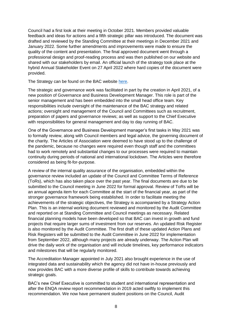Council had a first look at their meeting in October 2021. Members provided valuable feedback and ideas for actions and a fifth strategic pillar was introduced. The document was drafted and reviewed by the Standing Committee at their meetings in December 2021 and January 2022. Some further amendments and improvements were made to ensure the quality of the content and presentation. The final approved document went through a professional design and proof-reading process and was then published on our website and shared with our stakeholders by email. An official launch of the strategy took place at the hybrid Annual Stakeholder Event on 27 April 2022 where hard copies of the document were provided.

#### The Strategy can be found on the BAC website [here.](https://www.the-bac.org/wp-content/uploads/2022/03/BAC-Strategy-2021-2026.pdf)

The strategic and governance work was facilitated in part by the creation in April 2021, of a new position of Governance and Business Development Manager. This role is part of the senior management and has been embedded into the small head office team. Key responsibilities include oversight of the maintenance of the BAC strategy and related actions; oversight and management of the Council and Committees such as recruitment, preparation of papers and governance reviews; as well as support to the Chief Executive with responsibilities for general management and day to day running of BAC.

One of the Governance and Business Development manager's first tasks in May 2021 was to formally review, along with Council members and legal advice, the governing document of the charity. The Articles of Association were deemed to have stood up to the challenge of the pandemic, because no changes were required even though staff and the committees had to work remotely and substantial changes to our processes were required to maintain continuity during periods of national and international lockdown. The Articles were therefore considered as being fit-for-purpose.

A review of the internal quality assurance of the organisation, embedded within the governance review included an update of the Council and Committee Terms of Reference (ToRs), which has also taken place over the past year. The final documents are due to be submitted to the Council meeting in June 2022 for formal approval. Review of ToRs will be an annual agenda item for each Committee at the start of the financial year, as part of the stronger governance framework being established. In order to facilitate meeting the achievements of the strategic objectives, the Strategy is accompanied by a Strategy Action Plan. This is an internal working document reviewed and monitored by the Audit Committee and reported on at Standing Committee and Council meetings as necessary. Related financial planning models have been developed so that BAC can invest in growth and fund projects that require larger sums of investment from our reserves. An updated Risk Register is also monitored by the Audit Committee. The first draft of these updated Action Plans and Risk Registers will be submitted to the Audit Committee in June 2022 for implementation from September 2022, although many projects are already underway. The Action Plan will drive the daily work of the organisation and will include timelines, key performance indicators and milestones that will be regularly monitored.

The Accreditation Manager appointed in July 2021 also brought experience in the use of integrated data and sustainability which the agency did not have in-house previously and now provides BAC with a more diverse profile of skills to contribute towards achieving strategic goals.

BAC's new Chief Executive is committed to student and international representation and after the ENQA review report recommendation in 2019 acted swiftly to implement this recommendation. We now have permanent student positions on the Council, Audit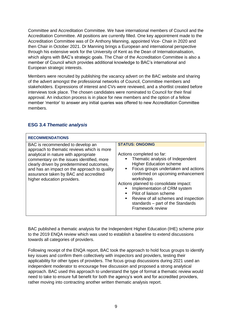Committee and Accreditation Committee. We have international members of Council and the Accreditation Committee. All positions are currently filled. One key appointment made to the Accreditation Committee was of Dr Anthony Manning, appointed Vice- Chair in 2020 and then Chair in October 2021. Dr Manning brings a European and international perspective through his extensive work for the University of Kent as the Dean of Internationalisation, which aligns with BAC's strategic goals. The Chair of the Accreditation Committee is also a member of Council which provides additional knowledge to BAC's international and European strategic interests.

Members were recruited by publishing the vacancy advert on the BAC website and sharing of the advert amongst the professional networks of Council, Committee members and stakeholders. Expressions of interest and CVs were reviewed, and a shortlist created before interviews took place. The chosen candidates were nominated to Council for their final approval. An induction process is in place for new members and the option of a fellow member 'mentor' to answer any initial queries was offered to new Accreditation Committee members.

| <b>RECOMMENDATIONS</b>                                                                                                                                                                                                                                                                                                                    |                                                                                                                                                                                                                                                                                                                                                                                                                                                                        |
|-------------------------------------------------------------------------------------------------------------------------------------------------------------------------------------------------------------------------------------------------------------------------------------------------------------------------------------------|------------------------------------------------------------------------------------------------------------------------------------------------------------------------------------------------------------------------------------------------------------------------------------------------------------------------------------------------------------------------------------------------------------------------------------------------------------------------|
| BAC is recommended to develop an<br>approach to thematic reviews which is more<br>analytical in nature with appropriate<br>commentary on the issues identified, more<br>clearly driven by predetermined outcomes,<br>and has an impact on the approach to quality<br>assurance taken by BAC and accredited<br>higher education providers. | <b>STATUS: ONGOING</b><br>Actions completed so far:<br>Thematic analysis of Independent<br>Ξ<br><b>Higher Education scheme</b><br>Focus groups undertaken and actions<br>$\blacksquare$<br>confirmed on upcoming enhancement<br>workshops<br>Actions planned to consolidate impact:<br>Implementation of CRM system<br>Pilot of liaison scheme<br>٠<br>Review of all schemes and inspection<br>$\blacksquare$<br>standards – part of the Standards<br>Framework review |

# **ESG 3.4** *Thematic analysis*

BAC published a thematic analysis for the Independent Higher Education (IHE) scheme prior to the 2019 ENQA review which was used to establish a baseline to extend discussions towards all categories of providers.

Following receipt of the ENQA report, BAC took the approach to hold focus groups to identify key issues and confirm them collectively with inspectors and providers, testing their applicability for other types of providers. The focus group discussions during 2021 used an independent moderator to encourage free discussion and proposed a strong analytical approach. BAC used this approach to understand the type of format a thematic review would need to take to ensure full benefit for both the agency's work and for accredited providers, rather moving into contracting another written thematic analysis report.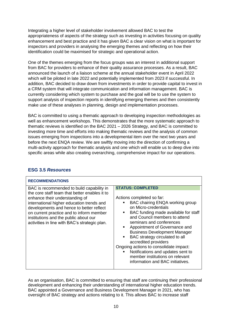Integrating a higher level of stakeholder involvement allowed BAC to test the appropriateness of aspects of the strategy such as investing in activities focusing on quality enhancement and best practice and it has given BAC a clear vision on what is important for inspectors and providers in analysing the emerging themes and reflecting on how their identification could be maximised for strategic and operational action.

One of the themes emerging from the focus groups was an interest in additional support from BAC for providers to enhance of their quality assurance processes. As a result, BAC announced the launch of a liaison scheme at the annual stakeholder event in April 2022 which will be piloted in late 2022 and potentially implemented from 2023 if successful. In addition, BAC decided to draw down from investments in order to provide capital to invest in a CRM system that will integrate communication and information management. BAC is currently considering which system to purchase and the goal will be to use the system to support analysis of inspection reports in identifying emerging themes and then consistently make use of these analyses in planning, design and implementation processes.

BAC is committed to using a thematic approach to developing inspection methodologies as well as enhancement workshops. This demonstrates that the more systematic approach to thematic reviews is identified on the BAC 2021 – 2026 Strategy, and BAC is committed to investing more time and efforts into making thematic reviews and the analysis of common issues emerging from inspections into a developmental item over the next two years and before the next ENQA review. We are swiftly moving into the direction of confirming a multi*-*activity approach for thematic analysis and one which will enable us to deep dive into specific areas while also creating overarching, comprehensive impact for our operations.

| <b>RECOMMENDATIONS</b>                                                                                                                                                                                                                                                                                                                                      |                                                                                                                                                                                                                                                                                                                                                                                                                                                                                                                                                             |
|-------------------------------------------------------------------------------------------------------------------------------------------------------------------------------------------------------------------------------------------------------------------------------------------------------------------------------------------------------------|-------------------------------------------------------------------------------------------------------------------------------------------------------------------------------------------------------------------------------------------------------------------------------------------------------------------------------------------------------------------------------------------------------------------------------------------------------------------------------------------------------------------------------------------------------------|
| BAC is recommended to build capability in<br>the core staff team that better enables it to<br>enhance their understanding of<br>international higher education trends and<br>developments and hence to better reflect<br>on current practice and to inform member<br>institutions and the public about our<br>activities in line with BAC's strategic plan. | <b>STATUS: COMPLETED</b><br>Actions completed so far:<br>BAC chairing ENQA working group<br>$\blacksquare$<br>on Micro-credentials<br>BAC funding made available for staff<br>٠<br>and Council members to attend<br>seminars and conferences<br>Appointment of Governance and<br><b>Business Development Manager</b><br>BAC strategy circulated to all<br>п<br>accredited providers<br>Ongoing actions to consolidate impact:<br>Notifications and updates sent to<br>$\blacksquare$<br>member institutions on relevant<br>information and BAC initiatives. |

#### **ESG 3.5** *Resources*

As an organisation, BAC is committed to ensuring that staff are continuing their professional development and enhancing their understanding of international higher education trends. BAC appointed a Governance and Business Development Manager in 2021, who has oversight of BAC strategy and actions relating to it. This allows BAC to increase staff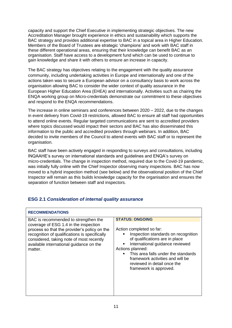capacity and support the Chief Executive in implementing strategic objectives. The new Accreditation Manager brought experience in ethics and sustainability which supports the BAC strategy and provides additional expertise to BAC in a topical area in Higher Education. Members of the Board of Trustees are strategic 'champions' and work with BAC staff in these different operational areas, ensuring that their knowledge can benefit BAC as an organisation. Staff have access to a development fund which can be used to continue to gain knowledge and share it with others to ensure an increase in capacity.

The BAC strategy has objectives relating to the engagement with the quality assurance community, including undertaking activities in Europe and internationally and one of the actions taken was to secure a European advisor on a consultancy basis to work across the organisation allowing BAC to consider the wider context of quality assurance in the European Higher Education Area (EHEA) and internationally. Activities such as chairing the ENQA working group on Micro-credentials demonstrate our commitment to these objectives and respond to the ENQA recommendations.

The increase in online seminars and conferences between 2020 – 2022, due to the changes in event delivery from Covid-19 restrictions, allowed BAC to ensure all staff had opportunities to attend online events. Regular targeted communications are sent to accredited providers where topics discussed would impact their sectors and BAC has also disseminated this information to the public and accredited providers through webinars. In addition, BAC decided to invite members of the Council to attend events with BAC staff or to represent the organisation.

BAC staff have been actively engaged in responding to surveys and consultations, including INQAAHE's survey on international standards and guidelines and ENQA's survey on micro-credentials. The change in inspection method, required due to the Covid-19 pandemic, was initially fully online with the Chief Inspector observing many inspections. BAC has now moved to a hybrid inspection method (see below) and the observational position of the Chief Inspector will remain as this builds knowledge capacity for the organisation and ensures the separation of function between staff and inspectors.

| <b>RECOMMENDATIONS</b>                                                                                                                                                                                                                                                           |                                                                                                                                                                                                                                                                                                                                                    |
|----------------------------------------------------------------------------------------------------------------------------------------------------------------------------------------------------------------------------------------------------------------------------------|----------------------------------------------------------------------------------------------------------------------------------------------------------------------------------------------------------------------------------------------------------------------------------------------------------------------------------------------------|
| BAC is recommended to strengthen the<br>coverage of ESG 1.4 in the inspection<br>process so that the provider's policy on the<br>recognition of qualifications is specifically<br>considered, taking note of most recently<br>available international guidance on the<br>matter. | <b>STATUS: ONGOING</b><br>Action completed so far:<br>Inspection standards on recognition<br>٠<br>of qualifications are in place<br>International guidance reviewed<br>٠<br>Actions planned:<br>This area falls under the standards<br>$\blacksquare$<br>framework activities and will be<br>reviewed in detail once the<br>framework is approved. |

# **ESG 2.1** *Consideration of internal quality assurance*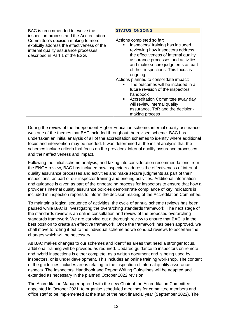| BAC is recommended to evolve the                                                                                                                                                                          | <b>STATUS: ONGOING</b>                                                                                                                                                                                                                                                                                                                                                                                                                                                                                                                                       |
|-----------------------------------------------------------------------------------------------------------------------------------------------------------------------------------------------------------|--------------------------------------------------------------------------------------------------------------------------------------------------------------------------------------------------------------------------------------------------------------------------------------------------------------------------------------------------------------------------------------------------------------------------------------------------------------------------------------------------------------------------------------------------------------|
| inspection process and the Accreditation<br>Committee's decision making to more<br>explicitly address the effectiveness of the<br>internal quality assurance processes<br>described in Part 1 of the ESG. | Actions completed so far:<br>Inspectors' training has included<br>reviewing how inspectors address<br>the effectiveness of internal quality<br>assurance processes and activities<br>and make secure judgments as part<br>of their inspections. This focus is<br>ongoing.<br>Actions planned to consolidate impact:<br>The outcomes will be included in a<br>$\blacksquare$<br>future revision of the inspectors'<br>handbook<br>Accreditation Committee away day<br>٠<br>will review internal quality<br>assurance, ToR and the decision-<br>making process |

During the review of the Independent Higher Education scheme, internal quality assurance was one of the themes that BAC included throughout the revised scheme. BAC has undertaken an initial analysis of all of the accreditation schemes to identify where additional focus and intervention may be needed. It was determined at the initial analysis that the schemes include criteria that focus on the providers' internal quality assurance processes and their effectiveness and impact.

Following the initial scheme analysis, and taking into consideration recommendations from the ENQA review, BAC has included how inspectors address the effectiveness of internal quality assurance processes and activities and make secure judgments as part of their inspections, as part of our inspector training and briefing activities. Additional information and guidance is given as part of the onboarding process for inspectors to ensure that how a provider's internal quality assurance policies demonstrate compliance of key indicators is included in inspection reports to inform the decision making of the Accreditation Committee.

To maintain a logical sequence of activities, the cycle of annual scheme reviews has been paused while BAC is investigating the overarching standards framework. The next stage of the standards review is an online consultation and review of the proposed overarching standards framework. We are carrying out a thorough review to ensure that BAC is in the best position to create an effective framework. Once the framework has been approved, we shall move to rolling it out to the individual scheme as we conduct reviews to ascertain the changes which will be necessary.

As BAC makes changes to our schemes and identifies areas that need a stronger focus, additional training will be provided as required. Updated guidance to inspectors on remote and hybrid inspections is either complete, as a written document and is being used by inspectors, or is under development. This includes an online training workshop. The content of the guidelines includes areas relating to the inspection of internal quality assurance aspects. The Inspectors' Handbook and Report Writing Guidelines will be adapted and extended as necessary in the planned October 2022 revision.

The Accreditation Manager agreed with the new Chair of the Accreditation Committee, appointed in October 2021, to organise scheduled meetings for committee members and office staff to be implemented at the start of the next financial year (September 2022). The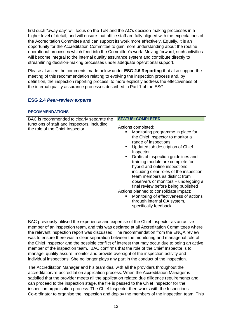first such "away day" will focus on the ToR and the AC's decision-making processes in a higher level of detail, and will ensure that office staff are fully aligned with the expectations of the Accreditation Committee and can support its work more effectively. Equally, it is an opportunity for the Accreditation Committee to gain more understanding about the routine operational processes which feed into the Committee's work. Moving forward, such activities will become integral to the internal quality assurance system and contribute directly to streamlining decision-making processes under adequate operational support.

Please also see the comments made below under **ESG 2.6 Reporting** that also support the meeting of this recommendation relating to evolving the inspection process and, by definition, the inspection reporting process, to more explicitly address the effectiveness of the internal quality assurance processes described in Part 1 of the ESG.

| <b>RECOMMENDATIONS</b>                                                                                                         |                                                                                                                                                                                                                                                                                                                                                                                                                                                                                                                                                                                                                                                 |
|--------------------------------------------------------------------------------------------------------------------------------|-------------------------------------------------------------------------------------------------------------------------------------------------------------------------------------------------------------------------------------------------------------------------------------------------------------------------------------------------------------------------------------------------------------------------------------------------------------------------------------------------------------------------------------------------------------------------------------------------------------------------------------------------|
| BAC is recommended to clearly separate the<br>functions of staff and inspectors, including<br>the role of the Chief Inspector. | <b>STATUS: COMPLETED</b><br>Actions completed:<br>Monitoring programme in place for<br>п<br>the Chief Inspector to monitor a<br>range of inspections<br>Updated job description of Chief<br>٠<br>Inspector<br>Drafts of inspection guidelines and<br>$\mathbf{r}$<br>training module are complete for<br>hybrid and online inspections,<br>including clear roles of the inspection<br>team members as distinct from<br>observers or monitors – undergoing a<br>final review before being published<br>Actions planned to consolidate impact:<br>Monitoring of effectiveness of actions<br>through internal QA system,<br>specifically feedback. |

## **ESG 2.4** *Peer-review experts*

BAC previously utilised the experience and expertise of the Chief Inspector as an active member of an inspection team, and this was declared at all Accreditation Committees where the relevant inspection report was discussed. The recommendation from the ENQA review was to ensure there was a clear separation between the monitoring and managerial role of the Chief Inspector and the possible conflict of interest that may occur due to being an active member of the inspection team. BAC confirms that the role of the Chief Inspector is to manage, quality assure, monitor and provide oversight of the inspection activity and individual inspections. She no longer plays any part in the conduct of the inspection.

The Accreditation Manager and his team deal with all the providers throughout the accreditation/re-accreditation application process. When the Accreditation Manager is satisfied that the provider meets all the application related due diligence requirements and can proceed to the inspection stage, the file is passed to the Chief Inspector for the inspection organisation process. The Chief Inspector then works with the Inspections Co-ordinator to organise the inspection and deploy the members of the inspection team. This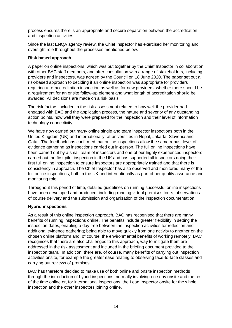process ensures there is an appropriate and secure separation between the accreditation and inspection activities.

Since the last ENQA agency review, the Chief Inspector has exercised her monitoring and oversight role throughout the processes mentioned below.

#### **Risk based approach**

A paper on online inspections, which was put together by the Chief Inspector in collaboration with other BAC staff members, and after consultation with a range of stakeholders, including providers and inspectors, was agreed by the Council on 18 June 2020. The paper set out a risk-based approach to deciding if an online inspection was appropriate for providers requiring a re-accreditation inspection as well as for new providers, whether there should be a requirement for an onsite follow-up element and what length of accreditation should be awarded. All decisions are made on a risk basis.

The risk factors included in the risk assessment related to how well the provider had engaged with BAC and the application process, the nature and severity of any outstanding action points, how well they were prepared for the inspection and their level of information technology connectivity.

We have now carried out many online single and team inspector inspections both in the United Kingdom (UK) and internationally, at universities in Nepal, Jakarta, Slovenia and Qatar. The feedback has confirmed that online inspections allow the same robust level of evidence gathering as inspections carried out in-person. The full online inspections have been carried out by a small team of inspectors and one of our highly experienced inspectors carried out the first pilot inspection in the UK and has supported all inspectors doing their first full online inspection to ensure inspectors are appropriately trained and that there is consistency in approach. The Chief Inspector has also observed and monitored many of the full online inspections, both in the UK and internationally as part of her quality assurance and monitoring role.

Throughout this period of time, detailed guidelines on running successful online inspections have been developed and produced, including running virtual premises tours, observations of course delivery and the submission and organisation of the inspection documentation.

#### **Hybrid inspections**

As a result of this online inspection approach, BAC has recognised that there are many benefits of running inspections online. The benefits include greater flexibility in setting the inspection dates, enabling a day free between the inspection activities for reflection and additional evidence gathering; being able to move quickly from one activity to another on the chosen online platform and, of course, the environmental benefits of working remotely. BAC recognises that there are also challenges to this approach, way to mitigate them are addressed in the risk assessment and included in the briefing document provided to the inspection team. In addition, there are, of course, many benefits of carrying out inspection activities onsite, for example the greater ease relating to observing face-to-face classes and carrying out reviews of premises.

BAC has therefore decided to make use of both online and onsite inspection methods through the introduction of hybrid inspections, normally involving one day onsite and the rest of the time online or, for international inspections, the Lead Inspector onsite for the whole inspection and the other inspectors joining online.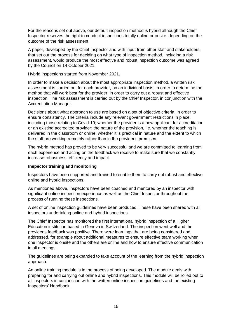For the reasons set out above, our default inspection method is hybrid although the Chief Inspector reserves the right to conduct inspections totally online or onsite, depending on the outcome of the risk assessment.

A paper, developed by the Chief Inspector and with input from other staff and stakeholders, that set out the process for deciding on what type of inspection method, including a risk assessment, would produce the most effective and robust inspection outcome was agreed by the Council on 14 October 2021.

Hybrid inspections started from November 2021.

In order to make a decision about the most appropriate inspection method, a written risk assessment is carried out for each provider, on an individual basis, in order to determine the method that will work best for the provider, in order to carry out a robust and effective inspection. The risk assessment is carried out by the Chief Inspector, in conjunction with the Accreditation Manager.

Decisions about what approach to use are based on a set of objective criteria, in order to ensure consistency. The criteria include any relevant government restrictions in place, including those relating to Covid-19; whether the provider is a new applicant for accreditation or an existing accredited provider; the nature of the provision, i.e. whether the teaching is delivered in the classroom or online, whether it is practical in nature and the extent to which the staff are working remotely rather than in the provider's premises.

The hybrid method has proved to be very successful and we are committed to learning from each experience and acting on the feedback we receive to make sure that we constantly increase robustness, efficiency and impact.

#### **Inspector training and monitoring**

Inspectors have been supported and trained to enable them to carry out robust and effective online and hybrid inspections.

As mentioned above, inspectors have been coached and mentored by an inspector with significant online inspection experience as well as the Chief Inspector throughout the process of running these inspections.

A set of online inspection guidelines have been produced. These have been shared with all inspectors undertaking online and hybrid inspections.

The Chief Inspector has monitored the first international hybrid inspection of a Higher Education institution based in Geneva in Switzerland. The inspection went well and the provider's feedback was positive. There were learnings that are being considered and addressed, for example about additional measures to ensure effective team working when one inspector is onsite and the others are online and how to ensure effective communication in all meetings.

The guidelines are being expanded to take account of the learning from the hybrid inspection approach.

An online training module is in the process of being developed. The module deals with preparing for and carrying out online and hybrid inspections. This module will be rolled out to all inspectors in conjunction with the written online inspection guidelines and the existing Inspectors' Handbook.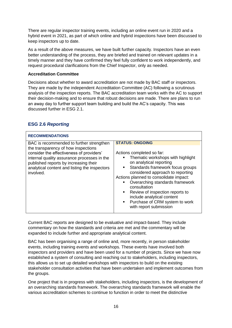There are regular inspector training events, including an online event run in 2020 and a hybrid event in 2021, as part of which online and hybrid inspections have been discussed to keep inspectors up to date.

As a result of the above measures, we have built further capacity. Inspectors have an even better understanding of the process, they are briefed and trained on relevant updates in a timely manner and they have confirmed they feel fully confident to work independently, and request procedural clarifications from the Chief Inspector, only as needed.

#### **Accreditation Committee**

Decisions about whether to award accreditation are not made by BAC staff or inspectors. They are made by the independent Accreditation Committee (AC) following a scrutinous analysis of the inspection reports. The BAC accreditation team works with the AC to support their decision-making and to ensure that robust decisions are made. There are plans to run an away day to further support team building and build the AC's capacity. This was discussed further in ESG 2.1.

## **ESG 2.6** *Reporting*

| <b>RECOMMENDATIONS</b>                                                                                                                                                                                                                                                            |                                                                                                                                                                                                                                                                                                                                                                                                                                                                            |
|-----------------------------------------------------------------------------------------------------------------------------------------------------------------------------------------------------------------------------------------------------------------------------------|----------------------------------------------------------------------------------------------------------------------------------------------------------------------------------------------------------------------------------------------------------------------------------------------------------------------------------------------------------------------------------------------------------------------------------------------------------------------------|
| BAC is recommended to further strengthen<br>the transparency of how inspections<br>consider the effectiveness of providers'<br>internal quality assurance processes in the<br>published reports by increasing their<br>analytical content and listing the inspectors<br>involved. | <b>STATUS: ONGOING</b><br>Actions completed so far:<br>Thematic workshops with highlight<br>٠<br>on analytical reporting<br>Standards framework focus groups<br>٠<br>considered approach to reporting<br>Actions planned to consolidate impact:<br>Overarching standards framework<br>٠<br>consultation<br>Review of inspection reports to<br>$\blacksquare$<br>include analytical content<br>Purchase of CRM system to work<br>$\blacksquare$ .<br>with report submission |

Current BAC reports are designed to be evaluative and impact-based. They include commentary on how the standards and criteria are met and the commentary will be expanded to include further and appropriate analytical content.

BAC has been organising a range of online and, more recently, in person stakeholder events, including training events and workshops. These events have involved both inspectors and providers and have been used for a number of projects. Since we have now established a system of consulting and reaching out to stakeholders, including inspectors, this allows us to set up detailed workshops with inspectors to build on the existing stakeholder consultation activities that have been undertaken and implement outcomes from the groups.

One project that is in progress with stakeholders, including inspectors, is the development of an overarching standards framework. The overarching standards framework will enable the various accreditation schemes to continue to function in order to meet the distinctive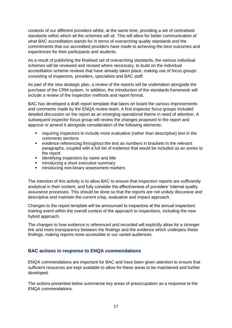contexts of our different providers whilst, at the same time, providing a set of centralised standards within which all the schemes will sit*.* This will allow for better communication of what BAC accreditation stands for in terms of overarching quality standards and the commitments that our accredited providers have made to achieving the best outcomes and experiences for their participants and students.

As a result of publishing the finalised set of overarching standards, the various individual schemes will be reviewed and revised where necessary, to build on the individual accreditation scheme reviews that have already taken place, making use of focus groups consisting of inspectors, providers, specialists and BAC staff.

As part of the new strategic plan, a review of the reports will be undertaken alongside the purchase of the CRM system. In addition, the introduction of the standards framework will include a review of the inspection methods and report format.

BAC has developed a draft report template that takes on board the various improvements and comments made by the ENQA review team. A first inspector focus groups included detailed discussion on the report as an emerging operational theme in need of attention. A subsequent inspector focus group will review the changes proposed to the report and approve or amend it alongside consideration of the following elements:

- requiring inspectors to include more evaluative (rather than descriptive) text in the comments sections
- evidence referencing throughout the text as numbers in brackets in the relevant paragraphs, coupled with a full list of evidence that would be included as an annex to the report
- **EXECT** identifying inspectors by name and title
- introducing a short executive summary
- **EXEDER** introducing non-binary assessment markers

The intention of this activity is to allow BAC to ensure that inspection reports are sufficiently analytical in their content, and fully consider the effectiveness of providers' internal quality assurance processes. This should be done so that the reports are not unduly discursive and descriptive and maintain the current crisp, evaluative and impact approach.

Changes to the report template will be announced to inspectors at the annual inspectors' training event within the overall context of the approach to inspections, including the new hybrid approach.

<span id="page-16-0"></span>The changes to how evidence is referenced and recorded will explicitly allow for a stronger link and more transparency between the findings and the evidence which underpins these findings, making reports more accessible to our varied audiences.

## **BAC actions in response to ENQA commendations**

ENQA commendations are important for BAC and have been given attention to ensure that sufficient resources are kept available to allow for these areas to be maintained and further developed.

The actions presented below summarise key areas of preoccupation as a response to the ENQA commendations.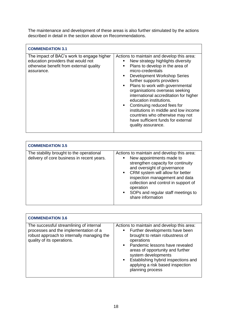The maintenance and development of these areas is also further stimulated by the actions described in detail in the section above on Recommendations.

| <b>COMMENDATION 3.1</b>                                                                                                                  |                                                                                                                                                                                                                                                                                                                                                                                                                                                                                                                                                                          |
|------------------------------------------------------------------------------------------------------------------------------------------|--------------------------------------------------------------------------------------------------------------------------------------------------------------------------------------------------------------------------------------------------------------------------------------------------------------------------------------------------------------------------------------------------------------------------------------------------------------------------------------------------------------------------------------------------------------------------|
| The impact of BAC's work to engage higher<br>education providers that would not<br>otherwise benefit from external quality<br>assurance. | Actions to maintain and develop this area:<br>New strategy highlights diversity<br>٠<br>Plans to develop in the area of<br>$\blacksquare$<br>micro-credentials<br>Development Workshop Series<br>$\blacksquare$<br>further supports providers<br>Plans to work with governmental<br>٠<br>organisations overseas seeking<br>international accreditation for higher<br>education institutions.<br>Continuing reduced fees for<br>٠<br>institutions in middle and low income<br>countries who otherwise may not<br>have sufficient funds for external<br>quality assurance. |

| <b>COMMENDATION 3.5</b>                                                                |                                                                                                                                                                                                                                                                                                                                                       |
|----------------------------------------------------------------------------------------|-------------------------------------------------------------------------------------------------------------------------------------------------------------------------------------------------------------------------------------------------------------------------------------------------------------------------------------------------------|
| The stability brought to the operational<br>delivery of core business in recent years. | Actions to maintain and develop this area:<br>New appointments made to<br>$\blacksquare$<br>strengthen capacity for continuity<br>and oversight of governance<br>• CRM system will allow for better<br>inspection management and data<br>collection and control in support of<br>operation<br>SOPs and regular staff meetings to<br>share information |

| <b>COMMENDATION 3.6</b>                                                                                                                                      |                                                                                                                                                                                                                                                                                                                                                                 |
|--------------------------------------------------------------------------------------------------------------------------------------------------------------|-----------------------------------------------------------------------------------------------------------------------------------------------------------------------------------------------------------------------------------------------------------------------------------------------------------------------------------------------------------------|
| The successful streamlining of internal<br>processes and the implementation of a<br>robust approach to internally managing the<br>quality of its operations. | Actions to maintain and develop this area:<br>Further developments have been<br>$\blacksquare$<br>brought to retain robustness of<br>operations<br>• Pandemic lessons have revealed<br>areas of opportunity and further<br>system developments<br>Establishing hybrid inspections and<br>$\blacksquare$<br>applying a risk based inspection<br>planning process |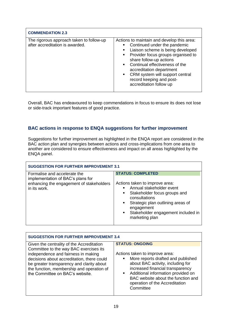| <b>COMMENDATION 2.3</b>                                                     |                                                                                                                                                                                                                                                                                                                                                                                                                       |
|-----------------------------------------------------------------------------|-----------------------------------------------------------------------------------------------------------------------------------------------------------------------------------------------------------------------------------------------------------------------------------------------------------------------------------------------------------------------------------------------------------------------|
| The rigorous approach taken to follow-up<br>after accreditation is awarded. | Actions to maintain and develop this area:<br>Continued under the pandemic<br>$\blacksquare$<br>Liaison scheme is being developed<br>п<br>Provider focus groups organised to<br>$\blacksquare$<br>share follow-up actions<br>Continual effectiveness of the<br>$\blacksquare$<br>accreditation department<br>CRM system will support central<br>$\blacksquare$<br>record keeping and post-<br>accreditation follow up |

Overall, BAC has endeavoured to keep commendations in focus to ensure its does not lose or side-track important features of good practice.

## <span id="page-18-0"></span>**BAC actions in response to ENQA suggestions for further improvement**

Suggestions for further improvement as highlighted in the ENQA report are considered in the BAC action plan and synergies between actions and cross-implications from one area to another are considered to ensure effectiveness and impact on all areas highlighted by the ENQA panel.

| <b>SUGGESTION FOR FURTHER IMPROVEMENT 3.1</b>                                                                                 |                                                                                                                                                                                                                                                                                                                                |
|-------------------------------------------------------------------------------------------------------------------------------|--------------------------------------------------------------------------------------------------------------------------------------------------------------------------------------------------------------------------------------------------------------------------------------------------------------------------------|
| Formalise and accelerate the<br>implementation of BAC's plans for<br>enhancing the engagement of stakeholders<br>in its work. | <b>STATUS: COMPLETED</b><br>Actions taken to improve area:<br>Annual stakeholder event<br>$\blacksquare$<br>Stakeholder focus groups and<br>$\blacksquare$<br>consultations<br>Strategic plan outlining areas of<br>$\blacksquare$ .<br>engagement<br>Stakeholder engagement included in<br>$\blacksquare$ .<br>marketing plan |

| <b>SUGGESTION FOR FURTHER IMPROVEMENT 3.4</b>                                                                                                                                                                                                                                                         |                                                                                                                                                                                                                                                                                                                                          |
|-------------------------------------------------------------------------------------------------------------------------------------------------------------------------------------------------------------------------------------------------------------------------------------------------------|------------------------------------------------------------------------------------------------------------------------------------------------------------------------------------------------------------------------------------------------------------------------------------------------------------------------------------------|
| Given the centrality of the Accreditation<br>Committee to the way BAC exercises its<br>independence and fairness in making<br>decisions about accreditation, there could<br>be greater transparency and clarity about<br>the function, membership and operation of<br>the Committee on BAC's website. | <b>STATUS: ONGOING</b><br>Actions taken to improve area:<br>More reports drafted and published<br>$\blacksquare$<br>about BAC activity, including for<br>increased financial transparency<br>Additional information provided on<br>$\blacksquare$ .<br>BAC website about the function and<br>operation of the Accreditation<br>Committee |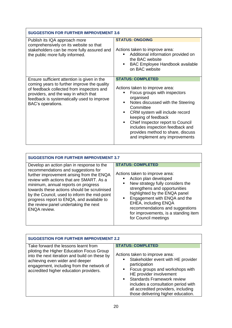| <b>SUGGESTION FOR FURTHER IMPROVEMENT 3.6</b>                                                                                                                                                                                                      |                                                                                                                                                                                                                                                                                                                                                                                                             |
|----------------------------------------------------------------------------------------------------------------------------------------------------------------------------------------------------------------------------------------------------|-------------------------------------------------------------------------------------------------------------------------------------------------------------------------------------------------------------------------------------------------------------------------------------------------------------------------------------------------------------------------------------------------------------|
| Publish its IQA approach more<br>comprehensively on its website so that<br>stakeholders can be more fully assured and<br>the public more fully informed.                                                                                           | <b>STATUS: ONGOING</b><br>Actions taken to improve area:<br>Additional information provided on<br>$\blacksquare$<br>the BAC website<br><b>BAC Employee Handbook available</b><br>$\blacksquare$<br>on BAC website                                                                                                                                                                                           |
| Ensure sufficient attention is given in the<br>coming years to further improve the quality<br>of feedback collected from inspectors and<br>providers, and the way in which that<br>feedback is systematically used to improve<br>BAC's operations. | <b>STATUS: COMPLETED</b><br>Actions taken to improve area:<br>Focus groups with inspectors<br>organised<br>Notes discussed with the Steering<br>$\blacksquare$<br>Committee<br>CRM system will include record<br>$\blacksquare$<br>keeping of feedback<br>Chief Inspector report to Council<br>٠<br>includes inspection feedback and<br>provides method to share, discuss<br>and implement any improvements |

| <b>SUGGESTION FOR FURTHER IMPROVEMENT 3.7</b>                                                                                                                                                                                                                                                                                                                                                                                |                                                                                                                                                                                                                                                                                                                                                                                    |
|------------------------------------------------------------------------------------------------------------------------------------------------------------------------------------------------------------------------------------------------------------------------------------------------------------------------------------------------------------------------------------------------------------------------------|------------------------------------------------------------------------------------------------------------------------------------------------------------------------------------------------------------------------------------------------------------------------------------------------------------------------------------------------------------------------------------|
| Develop an action plan in response to the<br>recommendations and suggestions for<br>further improvement arising from the ENQA<br>review with actions that are SMART. As a<br>minimum, annual reports on progress<br>towards these actions should be scrutinised<br>by the Council, used to inform the mid-point<br>progress report to ENQA, and available to<br>the review panel undertaking the next<br><b>ENQA</b> review. | <b>STATUS: COMPLETED</b><br>Actions taken to improve area:<br>Action plan developed<br>$\blacksquare$<br>New strategy fully considers the<br>٠<br>strengthens and opportunities<br>highlighted by the ENQA panel<br><b>Engagement with ENQA and the</b><br>EHEA, including ENQA<br>recommendations and suggestions<br>for improvements, is a standing item<br>for Council meetings |

| <b>SUGGESTION FOR FURTHER IMPROVEMENT 2.2</b>                                                                                                                                                                                                                |                                                                                                                                                                                                                                                                                                                                                                                                |
|--------------------------------------------------------------------------------------------------------------------------------------------------------------------------------------------------------------------------------------------------------------|------------------------------------------------------------------------------------------------------------------------------------------------------------------------------------------------------------------------------------------------------------------------------------------------------------------------------------------------------------------------------------------------|
| Take forward the lessons learnt from<br>piloting the Higher Education Focus Group<br>into the next iteration and build on these by<br>achieving even wider and deeper<br>engagement, including from the network of<br>accredited higher education providers. | <b>STATUS: COMPLETED</b><br>Actions taken to improve area:<br>Stakeholder event with HE provider<br>$\blacksquare$<br>participation<br>Focus groups and workshops with<br>$\blacksquare$<br>HE provider involvement<br><b>Standards Framework review</b><br>$\blacksquare$<br>includes a consultation period with<br>all accredited providers, including<br>those delivering higher education. |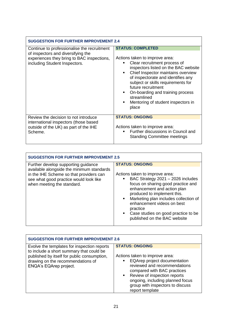| <b>SUGGESTION FOR FURTHER IMPROVEMENT 2.4</b>                                                                                                                    |                                                                                                                                                                                                                                                                                                                                                                                                                       |
|------------------------------------------------------------------------------------------------------------------------------------------------------------------|-----------------------------------------------------------------------------------------------------------------------------------------------------------------------------------------------------------------------------------------------------------------------------------------------------------------------------------------------------------------------------------------------------------------------|
| Continue to professionalise the recruitment<br>of inspectors and diversifying the<br>experiences they bring to BAC inspections,<br>including Student Inspectors. | <b>STATUS: COMPLETED</b><br>Actions taken to improve area:<br>Clear recruitment process of<br>inspectors listed on the BAC website<br>Chief Inspector maintains overview<br>$\blacksquare$<br>of inspectorate and identifies any<br>subject or skills requirements for<br>future recruitment<br>On-boarding and training process<br>$\blacksquare$<br>streamlined<br>Mentoring of student inspectors in<br>п<br>place |
| Review the decision to not introduce<br>international inspectors (those based<br>outside of the UK) as part of the IHE<br>Scheme.                                | <b>STATUS: ONGOING</b><br>Actions taken to improve area:<br>Further discussions in Council and<br><b>Standing Committee meetings</b>                                                                                                                                                                                                                                                                                  |

| <b>SUGGESTION FOR FURTHER IMPROVEMENT 2.5</b>                                                                                                                                                       |                                                                                                                                                                                                                                                                                                                                                                                     |
|-----------------------------------------------------------------------------------------------------------------------------------------------------------------------------------------------------|-------------------------------------------------------------------------------------------------------------------------------------------------------------------------------------------------------------------------------------------------------------------------------------------------------------------------------------------------------------------------------------|
| Further develop supporting guidance<br>available alongside the minimum standards<br>in the IHE Scheme so that providers can<br>see what good practice would look like<br>when meeting the standard. | <b>STATUS: ONGOING</b><br>Actions taken to improve area:<br>BAC Strategy 2021 - 2026 includes<br>$\blacksquare$<br>focus on sharing good practice and<br>enhancement and action plan<br>produced to implement this.<br>Marketing plan includes collection of<br>$\blacksquare$ .<br>enhancement videos on best<br>practice<br>Case studies on good practice to be<br>$\blacksquare$ |
|                                                                                                                                                                                                     | published on the BAC website                                                                                                                                                                                                                                                                                                                                                        |

| <b>SUGGESTION FOR FURTHER IMPROVEMENT 2.6</b>                                                                                                                                                         |                                                                                                                                                                                                                                                                                                               |
|-------------------------------------------------------------------------------------------------------------------------------------------------------------------------------------------------------|---------------------------------------------------------------------------------------------------------------------------------------------------------------------------------------------------------------------------------------------------------------------------------------------------------------|
| Evolve the templates for inspection reports<br>to include a short summary that could be<br>published by itself for public consumption,<br>drawing on the recommendations of<br>ENQA's EQArep project. | <b>STATUS: ONGOING</b><br>Actions taken to improve area:<br><b>EQArep project documentation</b><br>$\blacksquare$<br>reviewed and recommendations<br>compared with BAC practices<br>■ Review of inspection reports<br>ongoing, including planned focus<br>group with inspectors to discuss<br>report template |